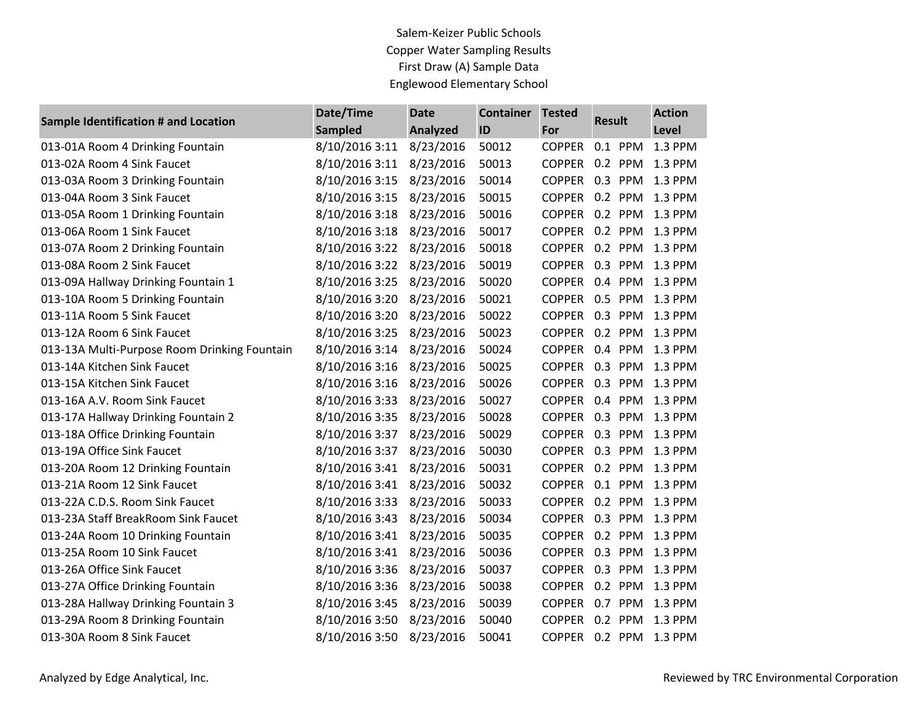## Salem-Keizer Public Schools Copper Water Sampling Results First Draw (A) Sample Data Englewood Elementary School

| <b>Sample Identification # and Location</b>  | Date/Time      | <b>Date</b>     | <b>Container</b> | <b>Tested</b> | <b>Result</b> |         | <b>Action</b> |
|----------------------------------------------|----------------|-----------------|------------------|---------------|---------------|---------|---------------|
|                                              | <b>Sampled</b> | <b>Analyzed</b> | ID               | For           |               |         | Level         |
| 013-01A Room 4 Drinking Fountain             | 8/10/2016 3:11 | 8/23/2016       | 50012            | <b>COPPER</b> |               | 0.1 PPM | 1.3 PPM       |
| 013-02A Room 4 Sink Faucet                   | 8/10/2016 3:11 | 8/23/2016       | 50013            | <b>COPPER</b> |               | 0.2 PPM | 1.3 PPM       |
| 013-03A Room 3 Drinking Fountain             | 8/10/2016 3:15 | 8/23/2016       | 50014            | <b>COPPER</b> |               | 0.3 PPM | 1.3 PPM       |
| 013-04A Room 3 Sink Faucet                   | 8/10/2016 3:15 | 8/23/2016       | 50015            | <b>COPPER</b> |               | 0.2 PPM | 1.3 PPM       |
| 013-05A Room 1 Drinking Fountain             | 8/10/2016 3:18 | 8/23/2016       | 50016            | <b>COPPER</b> |               | 0.2 PPM | 1.3 PPM       |
| 013-06A Room 1 Sink Faucet                   | 8/10/2016 3:18 | 8/23/2016       | 50017            | <b>COPPER</b> |               | 0.2 PPM | 1.3 PPM       |
| 013-07A Room 2 Drinking Fountain             | 8/10/2016 3:22 | 8/23/2016       | 50018            | <b>COPPER</b> |               | 0.2 PPM | 1.3 PPM       |
| 013-08A Room 2 Sink Faucet                   | 8/10/2016 3:22 | 8/23/2016       | 50019            | <b>COPPER</b> |               | 0.3 PPM | 1.3 PPM       |
| 013-09A Hallway Drinking Fountain 1          | 8/10/2016 3:25 | 8/23/2016       | 50020            | <b>COPPER</b> |               | 0.4 PPM | 1.3 PPM       |
| 013-10A Room 5 Drinking Fountain             | 8/10/2016 3:20 | 8/23/2016       | 50021            | <b>COPPER</b> |               | 0.5 PPM | 1.3 PPM       |
| 013-11A Room 5 Sink Faucet                   | 8/10/2016 3:20 | 8/23/2016       | 50022            | <b>COPPER</b> |               | 0.3 PPM | 1.3 PPM       |
| 013-12A Room 6 Sink Faucet                   | 8/10/2016 3:25 | 8/23/2016       | 50023            | <b>COPPER</b> |               | 0.2 PPM | 1.3 PPM       |
| 013-13A Multi-Purpose Room Drinking Fountain | 8/10/2016 3:14 | 8/23/2016       | 50024            | <b>COPPER</b> |               | 0.4 PPM | 1.3 PPM       |
| 013-14A Kitchen Sink Faucet                  | 8/10/2016 3:16 | 8/23/2016       | 50025            | <b>COPPER</b> |               | 0.3 PPM | 1.3 PPM       |
| 013-15A Kitchen Sink Faucet                  | 8/10/2016 3:16 | 8/23/2016       | 50026            | <b>COPPER</b> |               | 0.3 PPM | 1.3 PPM       |
| 013-16A A.V. Room Sink Faucet                | 8/10/2016 3:33 | 8/23/2016       | 50027            | <b>COPPER</b> |               | 0.4 PPM | 1.3 PPM       |
| 013-17A Hallway Drinking Fountain 2          | 8/10/2016 3:35 | 8/23/2016       | 50028            | <b>COPPER</b> |               | 0.3 PPM | 1.3 PPM       |
| 013-18A Office Drinking Fountain             | 8/10/2016 3:37 | 8/23/2016       | 50029            | <b>COPPER</b> |               | 0.3 PPM | 1.3 PPM       |
| 013-19A Office Sink Faucet                   | 8/10/2016 3:37 | 8/23/2016       | 50030            | <b>COPPER</b> |               | 0.3 PPM | 1.3 PPM       |
| 013-20A Room 12 Drinking Fountain            | 8/10/2016 3:41 | 8/23/2016       | 50031            | <b>COPPER</b> |               | 0.2 PPM | 1.3 PPM       |
| 013-21A Room 12 Sink Faucet                  | 8/10/2016 3:41 | 8/23/2016       | 50032            | <b>COPPER</b> |               | 0.1 PPM | 1.3 PPM       |
| 013-22A C.D.S. Room Sink Faucet              | 8/10/2016 3:33 | 8/23/2016       | 50033            | <b>COPPER</b> |               | 0.2 PPM | 1.3 PPM       |
| 013-23A Staff BreakRoom Sink Faucet          | 8/10/2016 3:43 | 8/23/2016       | 50034            | <b>COPPER</b> |               | 0.3 PPM | 1.3 PPM       |
| 013-24A Room 10 Drinking Fountain            | 8/10/2016 3:41 | 8/23/2016       | 50035            | <b>COPPER</b> |               | 0.2 PPM | 1.3 PPM       |
| 013-25A Room 10 Sink Faucet                  | 8/10/2016 3:41 | 8/23/2016       | 50036            | <b>COPPER</b> |               | 0.3 PPM | 1.3 PPM       |
| 013-26A Office Sink Faucet                   | 8/10/2016 3:36 | 8/23/2016       | 50037            | <b>COPPER</b> |               | 0.3 PPM | 1.3 PPM       |
| 013-27A Office Drinking Fountain             | 8/10/2016 3:36 | 8/23/2016       | 50038            | <b>COPPER</b> |               | 0.2 PPM | 1.3 PPM       |
| 013-28A Hallway Drinking Fountain 3          | 8/10/2016 3:45 | 8/23/2016       | 50039            | <b>COPPER</b> |               | 0.7 PPM | 1.3 PPM       |
| 013-29A Room 8 Drinking Fountain             | 8/10/2016 3:50 | 8/23/2016       | 50040            | <b>COPPER</b> |               | 0.2 PPM | 1.3 PPM       |
| 013-30A Room 8 Sink Faucet                   | 8/10/2016 3:50 | 8/23/2016       | 50041            | <b>COPPER</b> |               | 0.2 PPM | 1.3 PPM       |